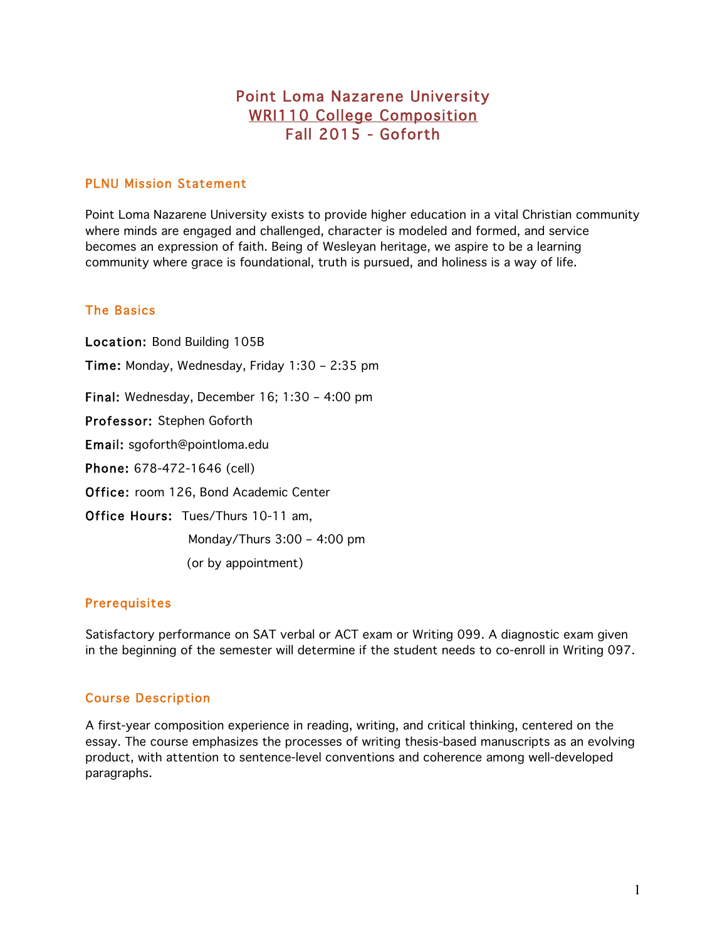# Point Loma Nazarene University WRI110 College Composition Fall 2015 - Goforth

# PLNU Mission Statement

Point Loma Nazarene University exists to provide higher education in a vital Christian community where minds are engaged and challenged, character is modeled and formed, and service becomes an expression of faith. Being of Wesleyan heritage, we aspire to be a learning community where grace is foundational, truth is pursued, and holiness is a way of life.

### The Basics

Location: Bond Building 105B Time: Monday, Wednesday, Friday 1:30 – 2:35 pm Final: Wednesday, December 16; 1:30 – 4:00 pm Professor: Stephen Goforth Email: sgoforth@pointloma.edu Phone: 678-472-1646 (cell) Office: room 126, Bond Academic Center Office Hours: Tues/Thurs 10-11 am, Monday/Thurs 3:00 – 4:00 pm (or by appointment)

### **Prerequisites**

Satisfactory performance on SAT verbal or ACT exam or Writing 099. A diagnostic exam given in the beginning of the semester will determine if the student needs to co-enroll in Writing 097.

# Course Description

A first-year composition experience in reading, writing, and critical thinking, centered on the essay. The course emphasizes the processes of writing thesis-based manuscripts as an evolving product, with attention to sentence-level conventions and coherence among well-developed paragraphs.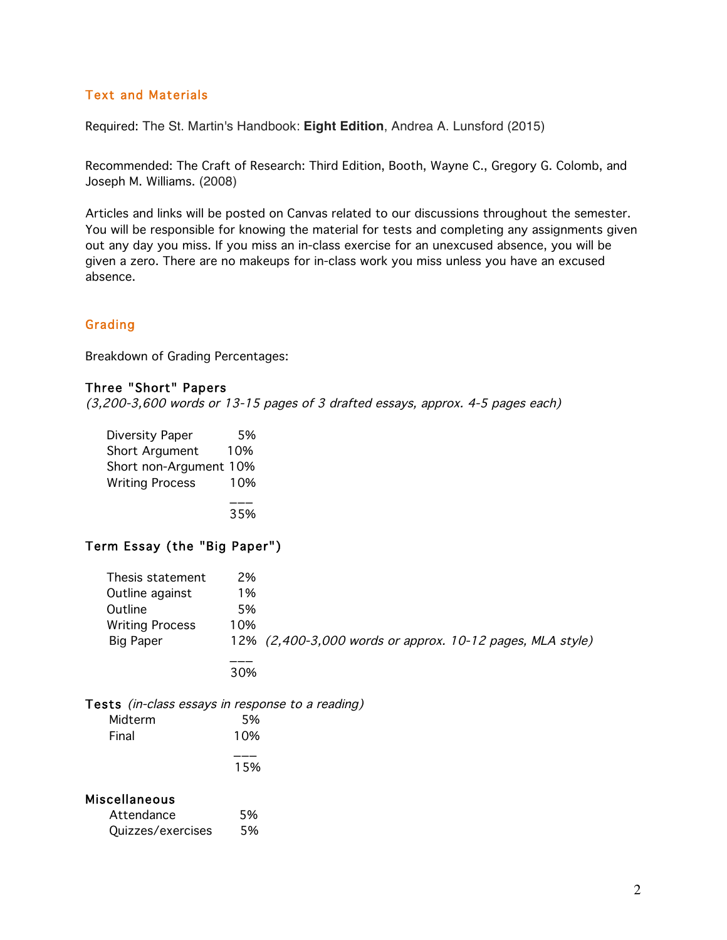# Text and Materials

Required: The St. Martin's Handbook: **Eight Edition**, Andrea A. Lunsford (2015)

Recommended: The Craft of Research: Third Edition, Booth, Wayne C., Gregory G. Colomb, and Joseph M. Williams. (2008)

Articles and links will be posted on Canvas related to our discussions throughout the semester. You will be responsible for knowing the material for tests and completing any assignments given out any day you miss. If you miss an in-class exercise for an unexcused absence, you will be given a zero. There are no makeups for in-class work you miss unless you have an excused absence.

#### Grading

Breakdown of Grading Percentages:

### Three "Short" Papers

(3,200-3,600 words or 13-15 pages of 3 drafted essays, approx. 4-5 pages each)

| Diversity Paper        | 5%  |
|------------------------|-----|
| Short Argument         | 10% |
| Short non-Argument 10% |     |
| <b>Writing Process</b> | 10% |
|                        |     |
|                        | 35% |

#### Term Essay (the "Big Paper")

| Thesis statement       | 2%  |                                                           |
|------------------------|-----|-----------------------------------------------------------|
| Outline against        | 1%  |                                                           |
| Outline                | 5%  |                                                           |
| <b>Writing Process</b> | 10% |                                                           |
| Big Paper              |     | 12% (2,400-3,000 words or approx. 10-12 pages, MLA style) |
|                        | 30% |                                                           |

Tests (in-class essays in response to a reading)

| Midterm | 5%  |
|---------|-----|
| Final   | 10% |
|         |     |
|         | 15% |
|         |     |

#### Miscellaneous

| Attendance        | 5% |
|-------------------|----|
| Quizzes/exercises | 5% |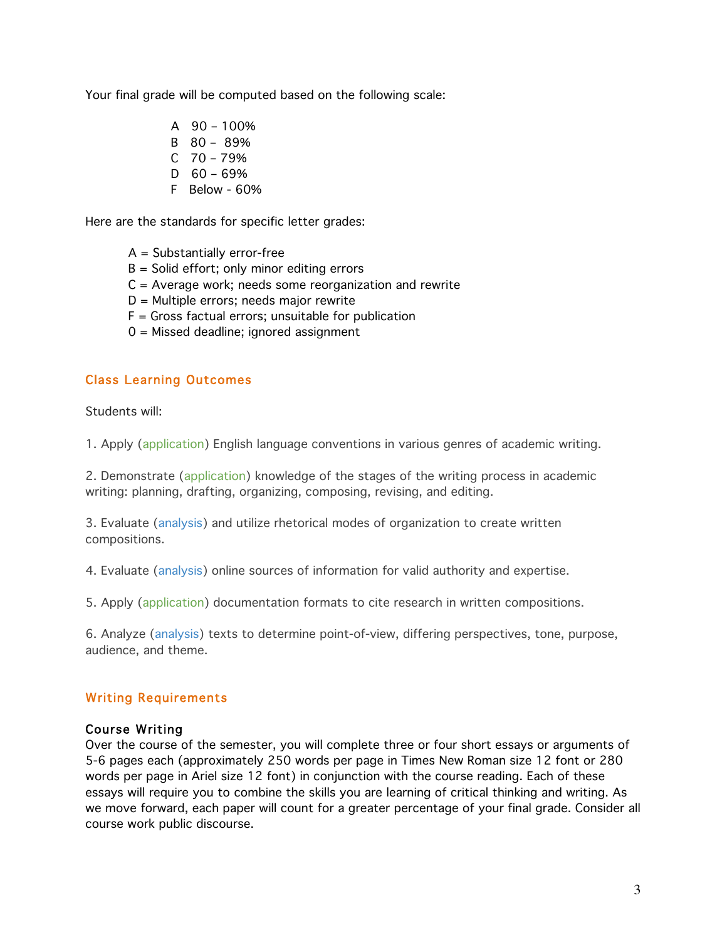Your final grade will be computed based on the following scale:

- A 90 100%
- B 80 89%
- C 70 79%
- $D$  60 69%
- F Below 60%

Here are the standards for specific letter grades:

- A = Substantially error-free
- B = Solid effort; only minor editing errors
- $C =$  Average work; needs some reorganization and rewrite
- D = Multiple errors; needs major rewrite
- $F =$  Gross factual errors; unsuitable for publication
- 0 = Missed deadline; ignored assignment

# Class Learning Outcomes

Students will:

1. Apply (application) English language conventions in various genres of academic writing.

2. Demonstrate (application) knowledge of the stages of the writing process in academic writing: planning, drafting, organizing, composing, revising, and editing.

3. Evaluate (analysis) and utilize rhetorical modes of organization to create written compositions.

4. Evaluate (analysis) online sources of information for valid authority and expertise.

5. Apply (application) documentation formats to cite research in written compositions.

6. Analyze (analysis) texts to determine point-of-view, differing perspectives, tone, purpose, audience, and theme.

# Writing Requirements

### Course Writing

Over the course of the semester, you will complete three or four short essays or arguments of 5-6 pages each (approximately 250 words per page in Times New Roman size 12 font or 280 words per page in Ariel size 12 font) in conjunction with the course reading. Each of these essays will require you to combine the skills you are learning of critical thinking and writing. As we move forward, each paper will count for a greater percentage of your final grade. Consider all course work public discourse.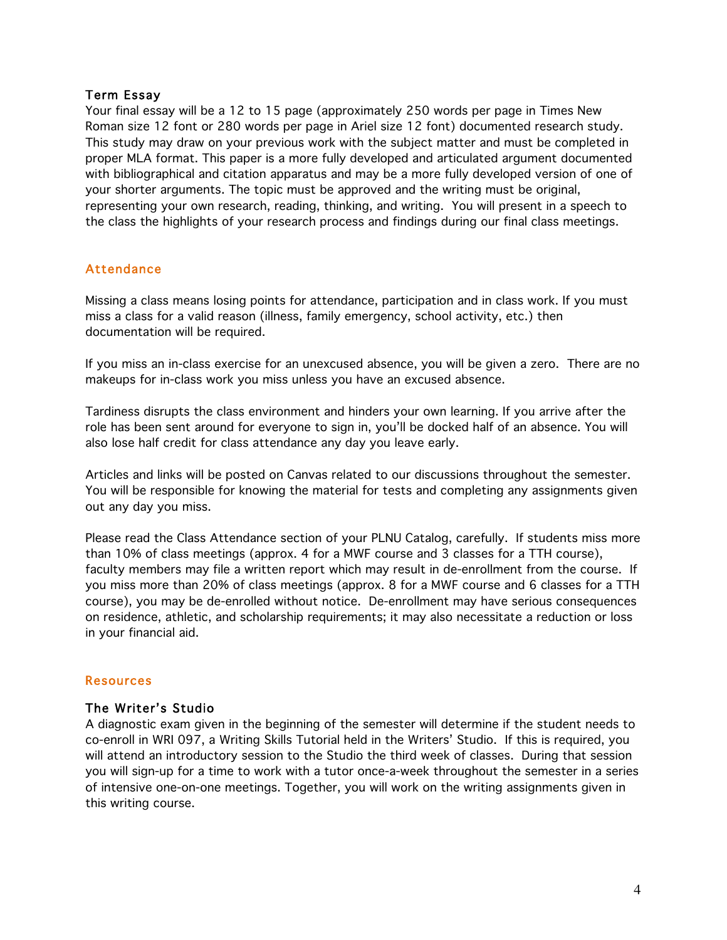#### Term Essay

Your final essay will be a 12 to 15 page (approximately 250 words per page in Times New Roman size 12 font or 280 words per page in Ariel size 12 font) documented research study. This study may draw on your previous work with the subject matter and must be completed in proper MLA format. This paper is a more fully developed and articulated argument documented with bibliographical and citation apparatus and may be a more fully developed version of one of your shorter arguments. The topic must be approved and the writing must be original, representing your own research, reading, thinking, and writing. You will present in a speech to the class the highlights of your research process and findings during our final class meetings.

# Attendance

Missing a class means losing points for attendance, participation and in class work. If you must miss a class for a valid reason (illness, family emergency, school activity, etc.) then documentation will be required.

If you miss an in-class exercise for an unexcused absence, you will be given a zero. There are no makeups for in-class work you miss unless you have an excused absence.

Tardiness disrupts the class environment and hinders your own learning. If you arrive after the role has been sent around for everyone to sign in, you'll be docked half of an absence. You will also lose half credit for class attendance any day you leave early.

Articles and links will be posted on Canvas related to our discussions throughout the semester. You will be responsible for knowing the material for tests and completing any assignments given out any day you miss.

Please read the Class Attendance section of your PLNU Catalog, carefully. If students miss more than 10% of class meetings (approx. 4 for a MWF course and 3 classes for a TTH course), faculty members may file a written report which may result in de-enrollment from the course. If you miss more than 20% of class meetings (approx. 8 for a MWF course and 6 classes for a TTH course), you may be de-enrolled without notice. De-enrollment may have serious consequences on residence, athletic, and scholarship requirements; it may also necessitate a reduction or loss in your financial aid.

### Resources

### The Writer's Studio

A diagnostic exam given in the beginning of the semester will determine if the student needs to co-enroll in WRI 097, a Writing Skills Tutorial held in the Writers' Studio. If this is required, you will attend an introductory session to the Studio the third week of classes. During that session you will sign-up for a time to work with a tutor once-a-week throughout the semester in a series of intensive one-on-one meetings. Together, you will work on the writing assignments given in this writing course.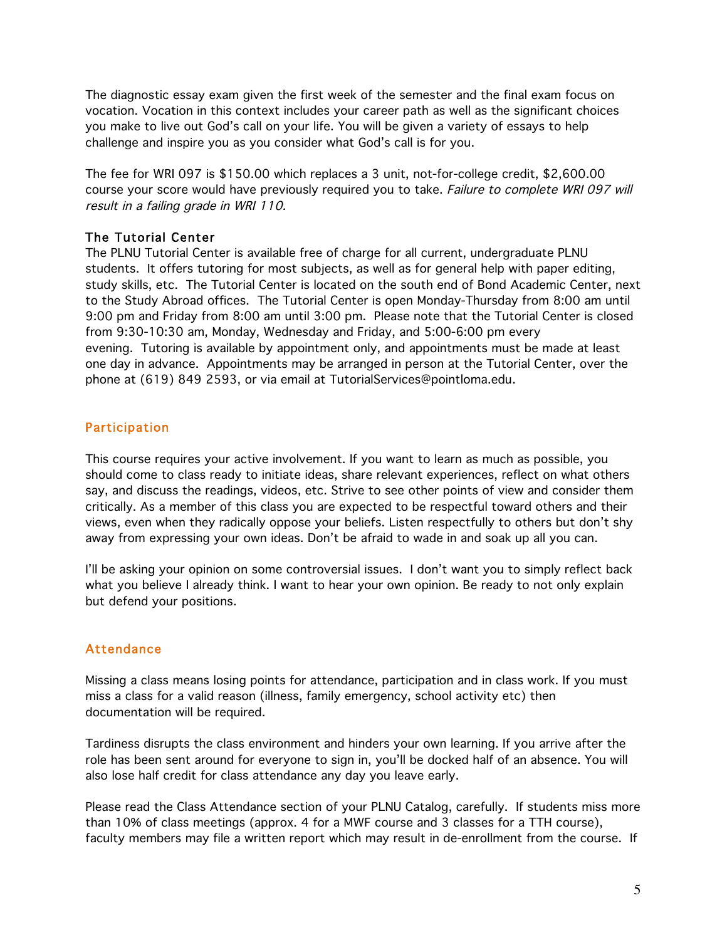The diagnostic essay exam given the first week of the semester and the final exam focus on vocation. Vocation in this context includes your career path as well as the significant choices you make to live out God's call on your life. You will be given a variety of essays to help challenge and inspire you as you consider what God's call is for you.

The fee for WRI 097 is \$150.00 which replaces a 3 unit, not-for-college credit, \$2,600.00 course your score would have previously required you to take. Failure to complete WRI 097 will result in a failing grade in WRI 110.

### The Tutorial Center

The PLNU Tutorial Center is available free of charge for all current, undergraduate PLNU students. It offers tutoring for most subjects, as well as for general help with paper editing, study skills, etc. The Tutorial Center is located on the south end of Bond Academic Center, next to the Study Abroad offices. The Tutorial Center is open Monday-Thursday from 8:00 am until 9:00 pm and Friday from 8:00 am until 3:00 pm. Please note that the Tutorial Center is closed from 9:30-10:30 am, Monday, Wednesday and Friday, and 5:00-6:00 pm every evening. Tutoring is available by appointment only, and appointments must be made at least one day in advance. Appointments may be arranged in person at the Tutorial Center, over the phone at (619) 849 2593, or via email at TutorialServices@pointloma.edu.

### Participation

This course requires your active involvement. If you want to learn as much as possible, you should come to class ready to initiate ideas, share relevant experiences, reflect on what others say, and discuss the readings, videos, etc. Strive to see other points of view and consider them critically. As a member of this class you are expected to be respectful toward others and their views, even when they radically oppose your beliefs. Listen respectfully to others but don't shy away from expressing your own ideas. Don't be afraid to wade in and soak up all you can.

I'll be asking your opinion on some controversial issues. I don't want you to simply reflect back what you believe I already think. I want to hear your own opinion. Be ready to not only explain but defend your positions.

### Attendance

Missing a class means losing points for attendance, participation and in class work. If you must miss a class for a valid reason (illness, family emergency, school activity etc) then documentation will be required.

Tardiness disrupts the class environment and hinders your own learning. If you arrive after the role has been sent around for everyone to sign in, you'll be docked half of an absence. You will also lose half credit for class attendance any day you leave early.

Please read the Class Attendance section of your PLNU Catalog, carefully. If students miss more than 10% of class meetings (approx. 4 for a MWF course and 3 classes for a TTH course), faculty members may file a written report which may result in de-enrollment from the course. If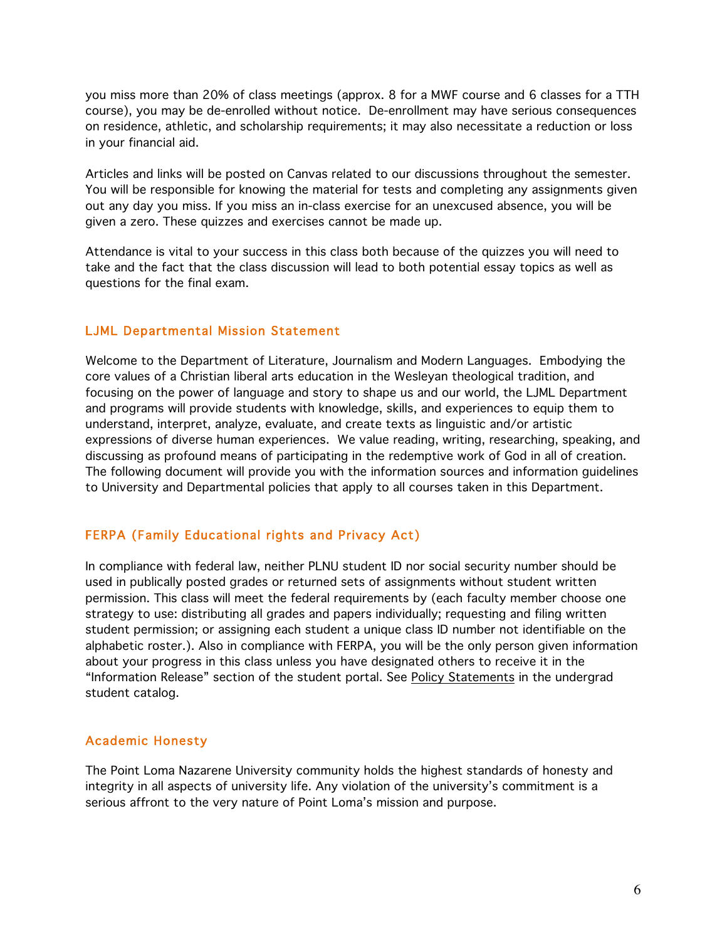you miss more than 20% of class meetings (approx. 8 for a MWF course and 6 classes for a TTH course), you may be de-enrolled without notice. De-enrollment may have serious consequences on residence, athletic, and scholarship requirements; it may also necessitate a reduction or loss in your financial aid.

Articles and links will be posted on Canvas related to our discussions throughout the semester. You will be responsible for knowing the material for tests and completing any assignments given out any day you miss. If you miss an in-class exercise for an unexcused absence, you will be given a zero. These quizzes and exercises cannot be made up.

Attendance is vital to your success in this class both because of the quizzes you will need to take and the fact that the class discussion will lead to both potential essay topics as well as questions for the final exam.

#### LJML Departmental Mission Statement

Welcome to the Department of Literature, Journalism and Modern Languages. Embodying the core values of a Christian liberal arts education in the Wesleyan theological tradition, and focusing on the power of language and story to shape us and our world, the LJML Department and programs will provide students with knowledge, skills, and experiences to equip them to understand, interpret, analyze, evaluate, and create texts as linguistic and/or artistic expressions of diverse human experiences. We value reading, writing, researching, speaking, and discussing as profound means of participating in the redemptive work of God in all of creation. The following document will provide you with the information sources and information guidelines to University and Departmental policies that apply to all courses taken in this Department.

#### FERPA (Family Educational rights and Privacy Act)

In compliance with federal law, neither PLNU student ID nor social security number should be used in publically posted grades or returned sets of assignments without student written permission. This class will meet the federal requirements by (each faculty member choose one strategy to use: distributing all grades and papers individually; requesting and filing written student permission; or assigning each student a unique class ID number not identifiable on the alphabetic roster.). Also in compliance with FERPA, you will be the only person given information about your progress in this class unless you have designated others to receive it in the "Information Release" section of the student portal. See Policy Statements in the undergrad student catalog.

### Academic Honesty

The Point Loma Nazarene University community holds the highest standards of honesty and integrity in all aspects of university life. Any violation of the university's commitment is a serious affront to the very nature of Point Loma's mission and purpose.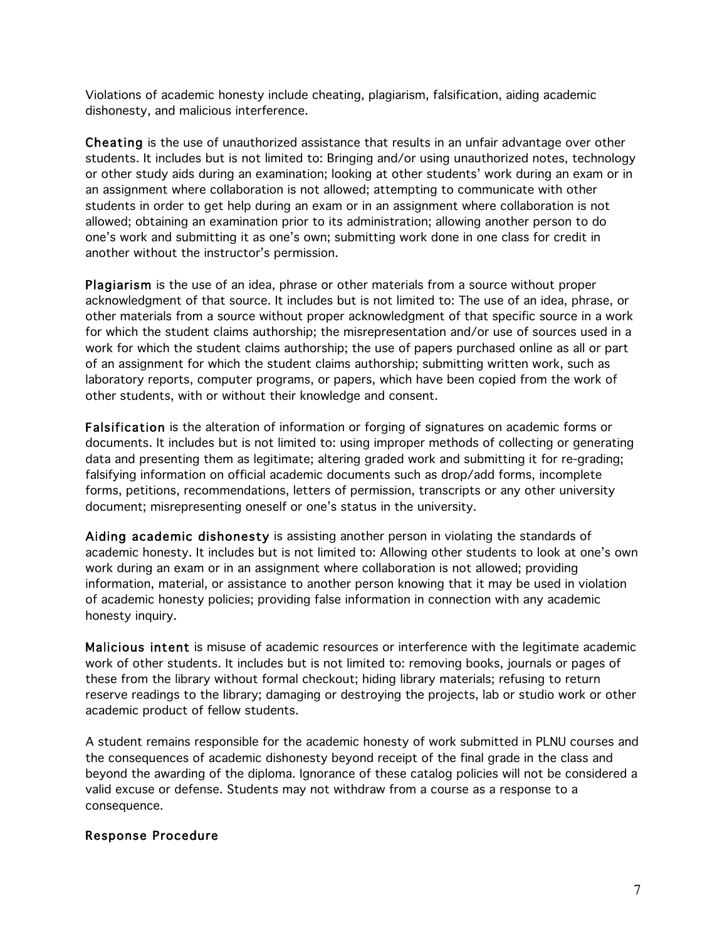Violations of academic honesty include cheating, plagiarism, falsification, aiding academic dishonesty, and malicious interference.

Cheating is the use of unauthorized assistance that results in an unfair advantage over other students. It includes but is not limited to: Bringing and/or using unauthorized notes, technology or other study aids during an examination; looking at other students' work during an exam or in an assignment where collaboration is not allowed; attempting to communicate with other students in order to get help during an exam or in an assignment where collaboration is not allowed; obtaining an examination prior to its administration; allowing another person to do one's work and submitting it as one's own; submitting work done in one class for credit in another without the instructor's permission.

Plagiarism is the use of an idea, phrase or other materials from a source without proper acknowledgment of that source. It includes but is not limited to: The use of an idea, phrase, or other materials from a source without proper acknowledgment of that specific source in a work for which the student claims authorship; the misrepresentation and/or use of sources used in a work for which the student claims authorship; the use of papers purchased online as all or part of an assignment for which the student claims authorship; submitting written work, such as laboratory reports, computer programs, or papers, which have been copied from the work of other students, with or without their knowledge and consent.

Falsification is the alteration of information or forging of signatures on academic forms or documents. It includes but is not limited to: using improper methods of collecting or generating data and presenting them as legitimate; altering graded work and submitting it for re-grading; falsifying information on official academic documents such as drop/add forms, incomplete forms, petitions, recommendations, letters of permission, transcripts or any other university document; misrepresenting oneself or one's status in the university.

Aiding academic dishonesty is assisting another person in violating the standards of academic honesty. It includes but is not limited to: Allowing other students to look at one's own work during an exam or in an assignment where collaboration is not allowed; providing information, material, or assistance to another person knowing that it may be used in violation of academic honesty policies; providing false information in connection with any academic honesty inquiry.

Malicious intent is misuse of academic resources or interference with the legitimate academic work of other students. It includes but is not limited to: removing books, journals or pages of these from the library without formal checkout; hiding library materials; refusing to return reserve readings to the library; damaging or destroying the projects, lab or studio work or other academic product of fellow students.

A student remains responsible for the academic honesty of work submitted in PLNU courses and the consequences of academic dishonesty beyond receipt of the final grade in the class and beyond the awarding of the diploma. Ignorance of these catalog policies will not be considered a valid excuse or defense. Students may not withdraw from a course as a response to a consequence.

#### Response Procedure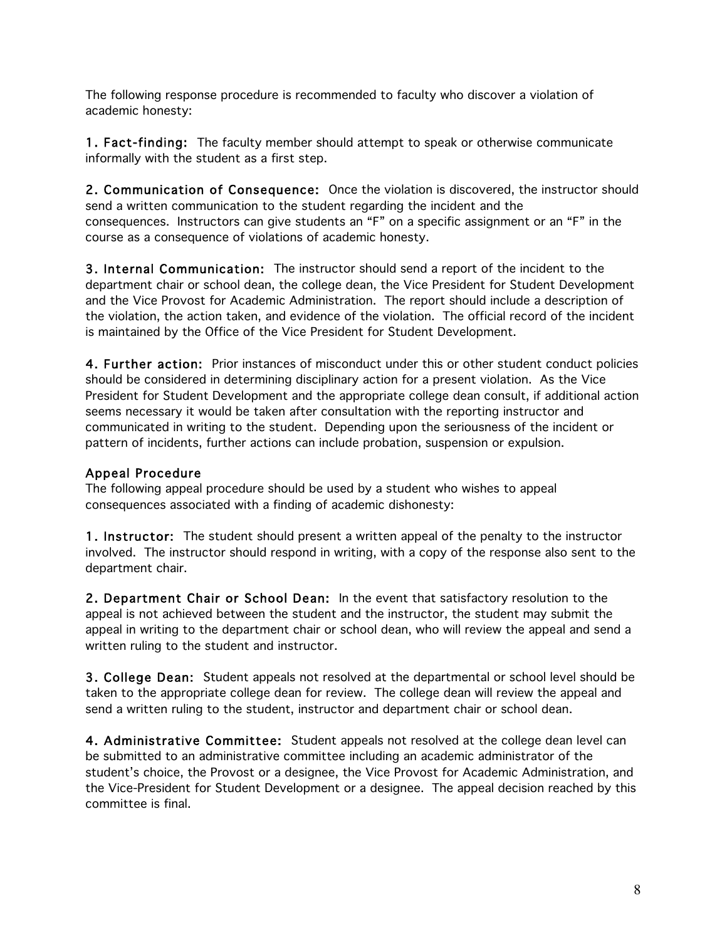The following response procedure is recommended to faculty who discover a violation of academic honesty:

1. Fact-finding: The faculty member should attempt to speak or otherwise communicate informally with the student as a first step.

2. Communication of Consequence: Once the violation is discovered, the instructor should send a written communication to the student regarding the incident and the consequences. Instructors can give students an "F" on a specific assignment or an "F" in the course as a consequence of violations of academic honesty.

3. Internal Communication: The instructor should send a report of the incident to the department chair or school dean, the college dean, the Vice President for Student Development and the Vice Provost for Academic Administration. The report should include a description of the violation, the action taken, and evidence of the violation. The official record of the incident is maintained by the Office of the Vice President for Student Development.

4. Further action: Prior instances of misconduct under this or other student conduct policies should be considered in determining disciplinary action for a present violation. As the Vice President for Student Development and the appropriate college dean consult, if additional action seems necessary it would be taken after consultation with the reporting instructor and communicated in writing to the student. Depending upon the seriousness of the incident or pattern of incidents, further actions can include probation, suspension or expulsion.

#### Appeal Procedure

The following appeal procedure should be used by a student who wishes to appeal consequences associated with a finding of academic dishonesty:

1. Instructor: The student should present a written appeal of the penalty to the instructor involved. The instructor should respond in writing, with a copy of the response also sent to the department chair.

2. Department Chair or School Dean: In the event that satisfactory resolution to the appeal is not achieved between the student and the instructor, the student may submit the appeal in writing to the department chair or school dean, who will review the appeal and send a written ruling to the student and instructor.

3. College Dean: Student appeals not resolved at the departmental or school level should be taken to the appropriate college dean for review. The college dean will review the appeal and send a written ruling to the student, instructor and department chair or school dean.

4. Administrative Committee: Student appeals not resolved at the college dean level can be submitted to an administrative committee including an academic administrator of the student's choice, the Provost or a designee, the Vice Provost for Academic Administration, and the Vice-President for Student Development or a designee. The appeal decision reached by this committee is final.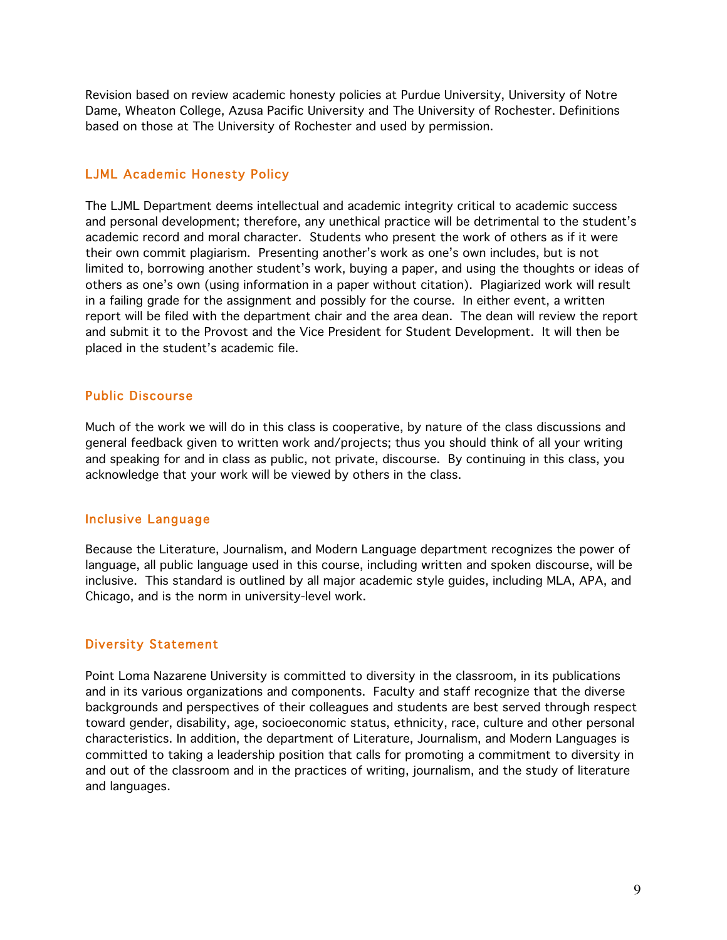Revision based on review academic honesty policies at Purdue University, University of Notre Dame, Wheaton College, Azusa Pacific University and The University of Rochester. Definitions based on those at The University of Rochester and used by permission.

#### LJML Academic Honesty Policy

The LJML Department deems intellectual and academic integrity critical to academic success and personal development; therefore, any unethical practice will be detrimental to the student's academic record and moral character. Students who present the work of others as if it were their own commit plagiarism. Presenting another's work as one's own includes, but is not limited to, borrowing another student's work, buying a paper, and using the thoughts or ideas of others as one's own (using information in a paper without citation). Plagiarized work will result in a failing grade for the assignment and possibly for the course. In either event, a written report will be filed with the department chair and the area dean. The dean will review the report and submit it to the Provost and the Vice President for Student Development. It will then be placed in the student's academic file.

#### Public Discourse

Much of the work we will do in this class is cooperative, by nature of the class discussions and general feedback given to written work and/projects; thus you should think of all your writing and speaking for and in class as public, not private, discourse. By continuing in this class, you acknowledge that your work will be viewed by others in the class.

#### Inclusive Language

Because the Literature, Journalism, and Modern Language department recognizes the power of language, all public language used in this course, including written and spoken discourse, will be inclusive. This standard is outlined by all major academic style guides, including MLA, APA, and Chicago, and is the norm in university-level work.

### Diversity Statement

Point Loma Nazarene University is committed to diversity in the classroom, in its publications and in its various organizations and components. Faculty and staff recognize that the diverse backgrounds and perspectives of their colleagues and students are best served through respect toward gender, disability, age, socioeconomic status, ethnicity, race, culture and other personal characteristics. In addition, the department of Literature, Journalism, and Modern Languages is committed to taking a leadership position that calls for promoting a commitment to diversity in and out of the classroom and in the practices of writing, journalism, and the study of literature and languages.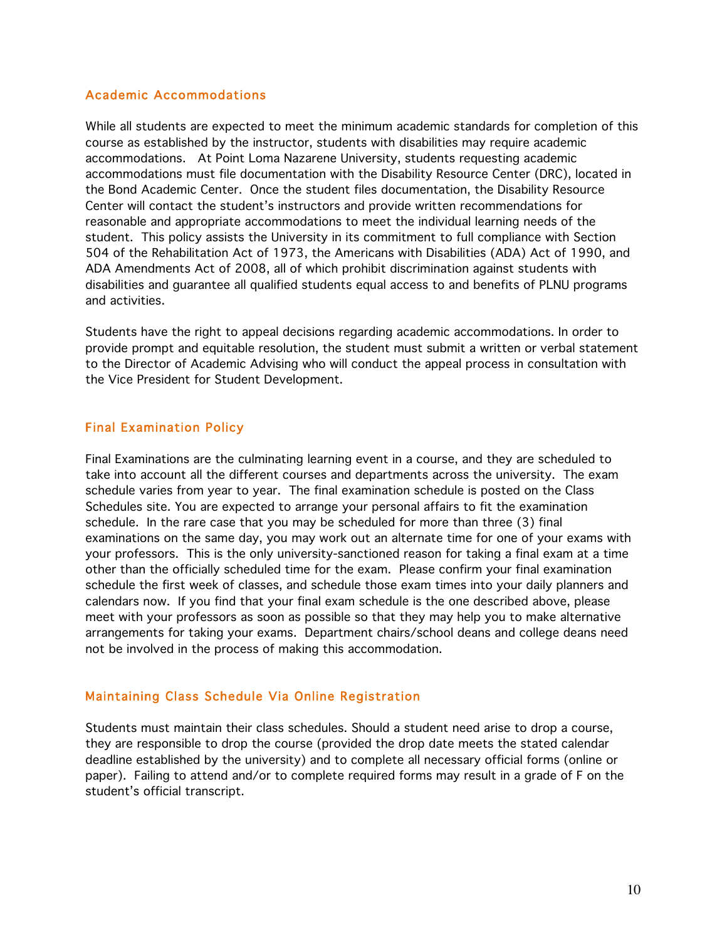## Academic Accommodations

While all students are expected to meet the minimum academic standards for completion of this course as established by the instructor, students with disabilities may require academic accommodations. At Point Loma Nazarene University, students requesting academic accommodations must file documentation with the Disability Resource Center (DRC), located in the Bond Academic Center. Once the student files documentation, the Disability Resource Center will contact the student's instructors and provide written recommendations for reasonable and appropriate accommodations to meet the individual learning needs of the student. This policy assists the University in its commitment to full compliance with Section 504 of the Rehabilitation Act of 1973, the Americans with Disabilities (ADA) Act of 1990, and ADA Amendments Act of 2008, all of which prohibit discrimination against students with disabilities and guarantee all qualified students equal access to and benefits of PLNU programs and activities.

Students have the right to appeal decisions regarding academic accommodations. In order to provide prompt and equitable resolution, the student must submit a written or verbal statement to the Director of Academic Advising who will conduct the appeal process in consultation with the Vice President for Student Development.

# Final Examination Policy

Final Examinations are the culminating learning event in a course, and they are scheduled to take into account all the different courses and departments across the university. The exam schedule varies from year to year. The final examination schedule is posted on the Class Schedules site. You are expected to arrange your personal affairs to fit the examination schedule. In the rare case that you may be scheduled for more than three (3) final examinations on the same day, you may work out an alternate time for one of your exams with your professors. This is the only university-sanctioned reason for taking a final exam at a time other than the officially scheduled time for the exam. Please confirm your final examination schedule the first week of classes, and schedule those exam times into your daily planners and calendars now. If you find that your final exam schedule is the one described above, please meet with your professors as soon as possible so that they may help you to make alternative arrangements for taking your exams. Department chairs/school deans and college deans need not be involved in the process of making this accommodation.

# Maintaining Class Schedule Via Online Registration

Students must maintain their class schedules. Should a student need arise to drop a course, they are responsible to drop the course (provided the drop date meets the stated calendar deadline established by the university) and to complete all necessary official forms (online or paper). Failing to attend and/or to complete required forms may result in a grade of F on the student's official transcript.